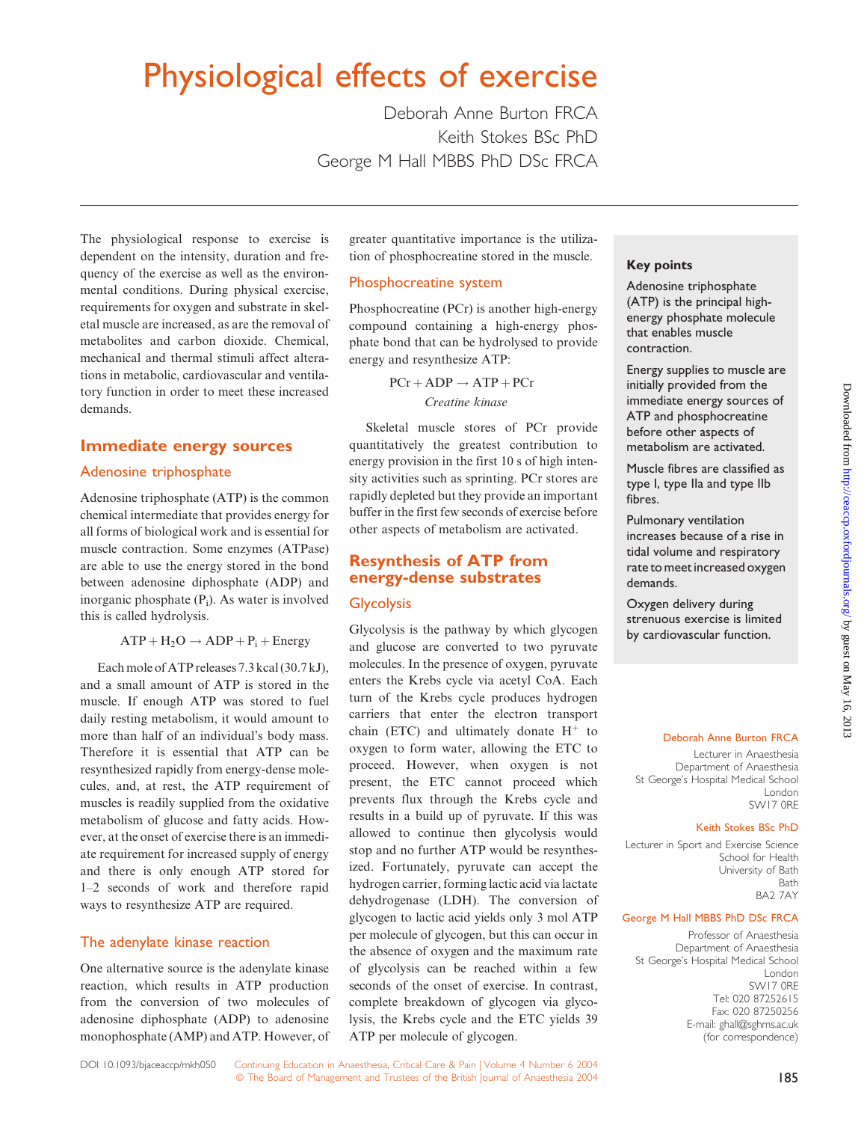# Physiological effects of exercise Deborah Anne Burton FRCA Keith Stokes BSc PhD George M Hall MBBS PhD DSc FRCA

The physiological response to exercise is dependent on the intensity, duration and frequency of the exercise as well as the environmental conditions. During physical exercise, requirements for oxygen and substrate in skeletal muscle are increased, as are the removal of metabolites and carbon dioxide. Chemical, mechanical and thermal stimuli affect alterations in metabolic, cardiovascular and ventilatory function in order to meet these increased demands.

# Immediate energy sources

# Adenosine triphosphate

Adenosine triphosphate (ATP) is the common chemical intermediate that provides energy for all forms of biological work and is essential for muscle contraction. Some enzymes (ATPase) are able to use the energy stored in the bond between adenosine diphosphate (ADP) and inorganic phosphate  $(P_i)$ . As water is involved this is called hydrolysis.

 $ATP + H_2O \rightarrow ADP + P_i + Energy$ 

Each mole of ATP releases 7.3 kcal (30.7 kJ), and a small amount of ATP is stored in the muscle. If enough ATP was stored to fuel daily resting metabolism, it would amount to more than half of an individual's body mass. Therefore it is essential that ATP can be resynthesized rapidly from energy-dense molecules, and, at rest, the ATP requirement of muscles is readily supplied from the oxidative metabolism of glucose and fatty acids. However, at the onset of exercise there is an immediate requirement for increased supply of energy and there is only enough ATP stored for 1–2 seconds of work and therefore rapid ways to resynthesize ATP are required.

# The adenylate kinase reaction

One alternative source is the adenylate kinase reaction, which results in ATP production from the conversion of two molecules of adenosine diphosphate (ADP) to adenosine monophosphate (AMP) and ATP. However, of greater quantitative importance is the utilization of phosphocreatine stored in the muscle.

#### Phosphocreatine system

Phosphocreatine (PCr) is another high-energy compound containing a high-energy phosphate bond that can be hydrolysed to provide energy and resynthesize ATP:

$$
PCr + ADP \rightarrow ATP + PCr
$$
  
*Create kinase*

Skeletal muscle stores of PCr provide quantitatively the greatest contribution to energy provision in the first 10 s of high intensity activities such as sprinting. PCr stores are rapidly depleted but they provide an important buffer in the first few seconds of exercise before other aspects of metabolism are activated.

# Resynthesis of ATP from energy-dense substrates **Glycolysis**

Glycolysis is the pathway by which glycogen and glucose are converted to two pyruvate molecules. In the presence of oxygen, pyruvate enters the Krebs cycle via acetyl CoA. Each turn of the Krebs cycle produces hydrogen carriers that enter the electron transport chain (ETC) and ultimately donate  $H^+$  to oxygen to form water, allowing the ETC to proceed. However, when oxygen is not present, the ETC cannot proceed which prevents flux through the Krebs cycle and results in a build up of pyruvate. If this was allowed to continue then glycolysis would stop and no further ATP would be resynthesized. Fortunately, pyruvate can accept the hydrogen carrier, forming lactic acid via lactate dehydrogenase (LDH). The conversion of glycogen to lactic acid yields only 3 mol ATP per molecule of glycogen, but this can occur in the absence of oxygen and the maximum rate of glycolysis can be reached within a few seconds of the onset of exercise. In contrast, complete breakdown of glycogen via glycolysis, the Krebs cycle and the ETC yields 39 ATP per molecule of glycogen.

#### Key points

Adenosine triphosphate (ATP) is the principal highenergy phosphate molecule that enables muscle contraction.

Energy supplies to muscle are initially provided from the immediate energy sources of ATP and phosphocreatine before other aspects of metabolism are activated.

Muscle fibres are classified as type I, type IIa and type IIb fibres.

Pulmonary ventilation increases because of a rise in tidal volume and respiratory rate to meet increased oxygen demands.

Oxygen delivery during strenuous exercise is limited by cardiovascular function.

# Downloaded from http://ceaccp.oxfordjournals.org/ by guest on May 16, 2013 by guest on May 16, 2013 <http://ceaccp.oxfordjournals.org/> Downloaded from

#### Deborah Anne Burton FRCA

Lecturer in Anaesthesia Department of Anaesthesia St George's Hospital Medical School London SW17 0RE

#### Keith Stokes BSc PhD

Lecturer in Sport and Exercise Science School for Health University of Bath Bath BA2 7AY

#### George M Hall MBBS PhD DSc FRCA

Professor of Anaesthesia Department of Anaesthesia St George's Hospital Medical School London SW17 0RE Tel: 020 87252615 Fax: 020 87250256 E-mail: ghall@sghms.ac.uk (for correspondence)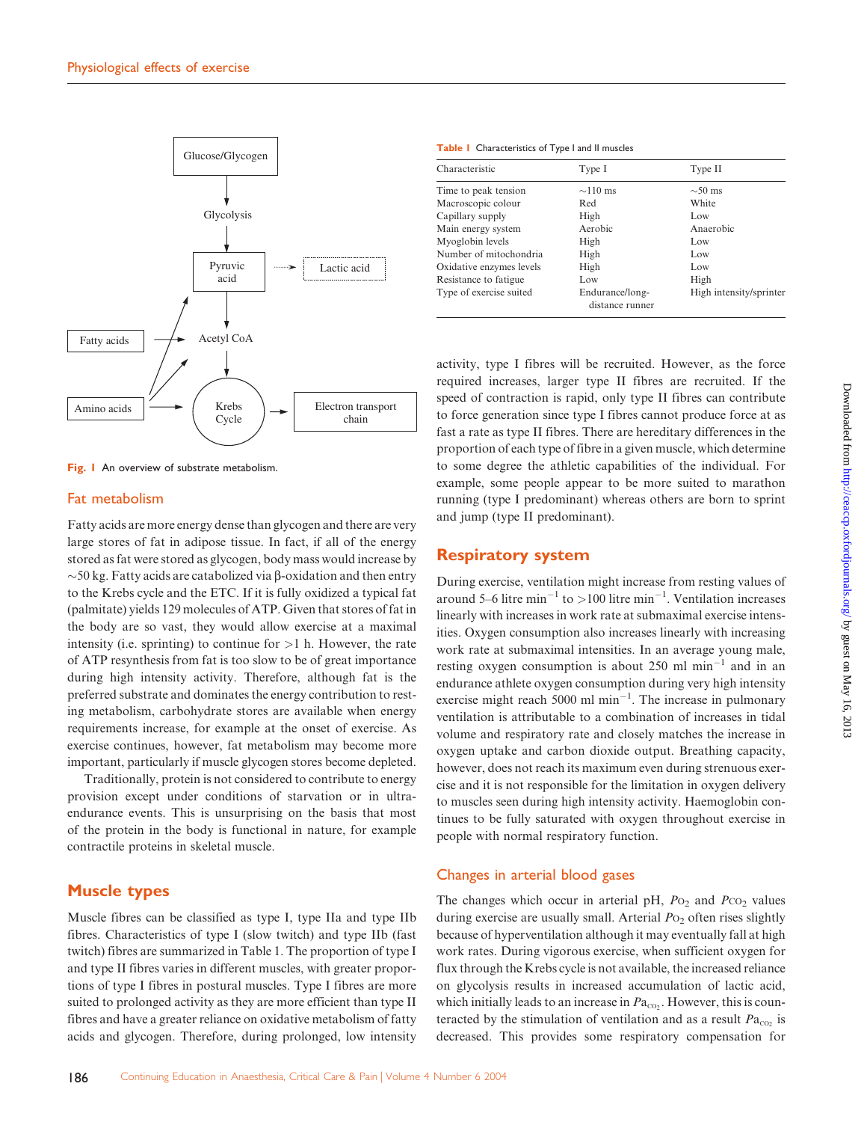

Fig. 1 An overview of substrate metabolism.

#### Fat metabolism

Fatty acids are more energy dense than glycogen and there are very large stores of fat in adipose tissue. In fact, if all of the energy stored as fat were stored as glycogen, body mass would increase by  $\sim$ 50 kg. Fatty acids are catabolized via  $\beta$ -oxidation and then entry to the Krebs cycle and the ETC. If it is fully oxidized a typical fat (palmitate) yields 129 molecules of ATP. Given that stores of fat in the body are so vast, they would allow exercise at a maximal intensity (i.e. sprinting) to continue for  $>1$  h. However, the rate of ATP resynthesis from fat is too slow to be of great importance during high intensity activity. Therefore, although fat is the preferred substrate and dominates the energy contribution to resting metabolism, carbohydrate stores are available when energy requirements increase, for example at the onset of exercise. As exercise continues, however, fat metabolism may become more important, particularly if muscle glycogen stores become depleted.

Traditionally, protein is not considered to contribute to energy provision except under conditions of starvation or in ultraendurance events. This is unsurprising on the basis that most of the protein in the body is functional in nature, for example contractile proteins in skeletal muscle.

### Muscle types

Muscle fibres can be classified as type I, type IIa and type IIb fibres. Characteristics of type I (slow twitch) and type IIb (fast twitch) fibres are summarized in Table 1. The proportion of type I and type II fibres varies in different muscles, with greater proportions of type I fibres in postural muscles. Type I fibres are more suited to prolonged activity as they are more efficient than type II fibres and have a greater reliance on oxidative metabolism of fatty acids and glycogen. Therefore, during prolonged, low intensity

Table | Characteristics of Type I and II muscles

| Characteristic           | Type I                             | Type II                 |
|--------------------------|------------------------------------|-------------------------|
| Time to peak tension     | $\sim$ 110 ms                      | $\sim$ 50 ms            |
| Macroscopic colour       | Red                                | White                   |
| Capillary supply         | High                               | Low                     |
| Main energy system       | Aerobic                            | Anaerobic               |
| Myoglobin levels         | High                               | Low                     |
| Number of mitochondria   | High                               | Low                     |
| Oxidative enzymes levels | High                               | Low                     |
| Resistance to fatigue    | Low                                | High                    |
| Type of exercise suited  | Endurance/long-<br>distance runner | High intensity/sprinter |

activity, type I fibres will be recruited. However, as the force required increases, larger type II fibres are recruited. If the speed of contraction is rapid, only type II fibres can contribute to force generation since type I fibres cannot produce force at as fast a rate as type II fibres. There are hereditary differences in the proportion of each type of fibre in a given muscle, which determine to some degree the athletic capabilities of the individual. For example, some people appear to be more suited to marathon running (type I predominant) whereas others are born to sprint and jump (type II predominant).

#### Respiratory system

During exercise, ventilation might increase from resting values of around 5–6 litre min<sup>-1</sup> to >100 litre min<sup>-1</sup>. Ventilation increases linearly with increases in work rate at submaximal exercise intensities. Oxygen consumption also increases linearly with increasing work rate at submaximal intensities. In an average young male, resting oxygen consumption is about 250 ml  $min^{-1}$  and in an endurance athlete oxygen consumption during very high intensity exercise might reach 5000 ml  $min^{-1}$ . The increase in pulmonary ventilation is attributable to a combination of increases in tidal volume and respiratory rate and closely matches the increase in oxygen uptake and carbon dioxide output. Breathing capacity, however, does not reach its maximum even during strenuous exercise and it is not responsible for the limitation in oxygen delivery to muscles seen during high intensity activity. Haemoglobin continues to be fully saturated with oxygen throughout exercise in people with normal respiratory function.

#### Changes in arterial blood gases

The changes which occur in arterial pH,  $P_{O_2}$  and  $P_{CO_2}$  values during exercise are usually small. Arterial Po<sub>2</sub> often rises slightly because of hyperventilation although it may eventually fall at high work rates. During vigorous exercise, when sufficient oxygen for flux through the Krebs cycle is not available, the increased reliance on glycolysis results in increased accumulation of lactic acid, which initially leads to an increase in  $Pa_{\text{co}_2}$ . However, this is counteracted by the stimulation of ventilation and as a result  $Pa_{\rm co}$ , is decreased. This provides some respiratory compensation for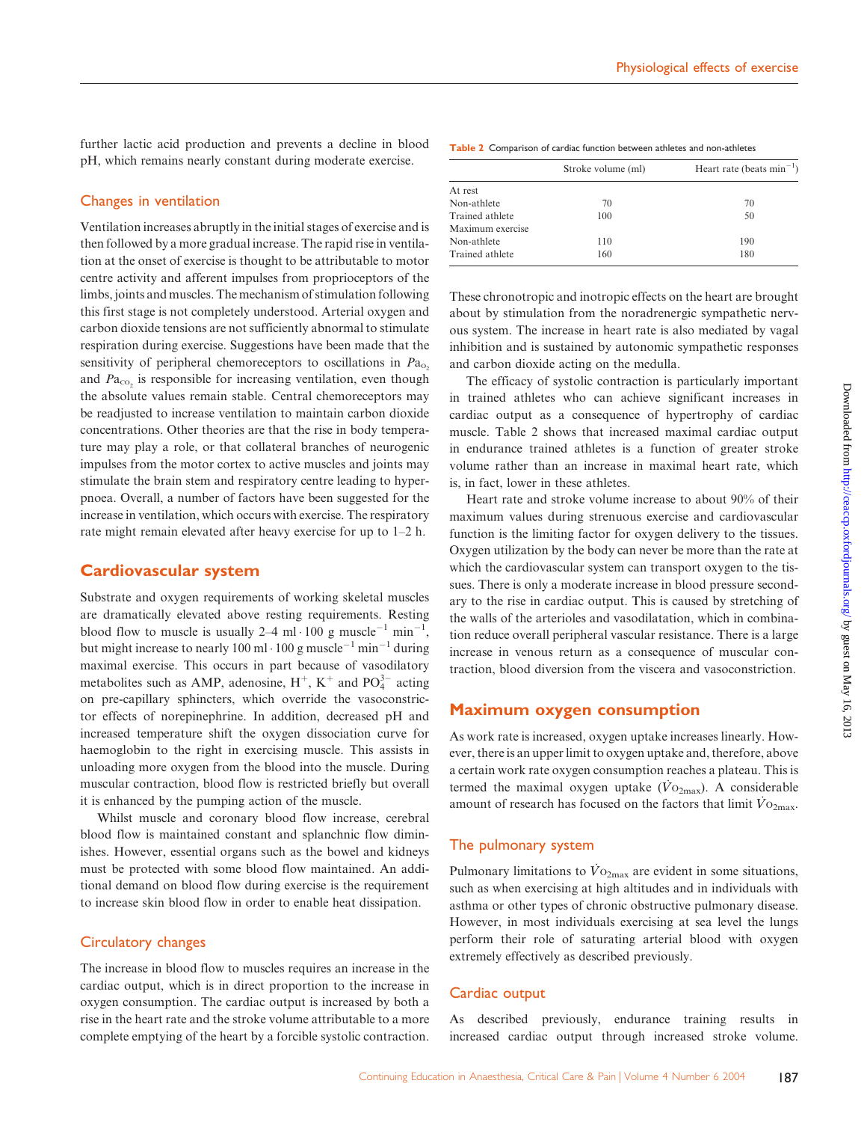further lactic acid production and prevents a decline in blood pH, which remains nearly constant during moderate exercise.

#### Changes in ventilation

Ventilation increases abruptly in the initial stages of exercise and is then followed by a more gradual increase. The rapid rise in ventilation at the onset of exercise is thought to be attributable to motor centre activity and afferent impulses from proprioceptors of the limbs, joints and muscles. The mechanism of stimulation following this first stage is not completely understood. Arterial oxygen and carbon dioxide tensions are not sufficiently abnormal to stimulate respiration during exercise. Suggestions have been made that the sensitivity of peripheral chemoreceptors to oscillations in  $Pa<sub>o</sub>$ . and  $Pa<sub>co</sub>$  is responsible for increasing ventilation, even though the absolute values remain stable. Central chemoreceptors may be readjusted to increase ventilation to maintain carbon dioxide concentrations. Other theories are that the rise in body temperature may play a role, or that collateral branches of neurogenic impulses from the motor cortex to active muscles and joints may stimulate the brain stem and respiratory centre leading to hyperpnoea. Overall, a number of factors have been suggested for the increase in ventilation, which occurs with exercise. The respiratory rate might remain elevated after heavy exercise for up to 1–2 h.

#### Cardiovascular system

Substrate and oxygen requirements of working skeletal muscles are dramatically elevated above resting requirements. Resting blood flow to muscle is usually  $2-4$  ml $\cdot 100$  g muscle<sup>-1</sup> min<sup>-1</sup>, but might increase to nearly 100 ml  $\cdot$  100 g muscle<sup>-1</sup> min<sup>-1</sup> during maximal exercise. This occurs in part because of vasodilatory metabolites such as AMP, adenosine,  $H^+$ ,  $K^+$  and  $PO_4^{3-}$  acting on pre-capillary sphincters, which override the vasoconstrictor effects of norepinephrine. In addition, decreased pH and increased temperature shift the oxygen dissociation curve for haemoglobin to the right in exercising muscle. This assists in unloading more oxygen from the blood into the muscle. During muscular contraction, blood flow is restricted briefly but overall it is enhanced by the pumping action of the muscle.

Whilst muscle and coronary blood flow increase, cerebral blood flow is maintained constant and splanchnic flow diminishes. However, essential organs such as the bowel and kidneys must be protected with some blood flow maintained. An additional demand on blood flow during exercise is the requirement to increase skin blood flow in order to enable heat dissipation.

#### Circulatory changes

The increase in blood flow to muscles requires an increase in the cardiac output, which is in direct proportion to the increase in oxygen consumption. The cardiac output is increased by both a rise in the heart rate and the stroke volume attributable to a more complete emptying of the heart by a forcible systolic contraction.

| Table 2 Comparison of cardiac function between athletes and non-athletes |
|--------------------------------------------------------------------------|
|--------------------------------------------------------------------------|

|                  | Stroke volume (ml) | Heart rate (beats $min^{-1}$ ) |  |
|------------------|--------------------|--------------------------------|--|
| At rest          |                    |                                |  |
| Non-athlete      | 70                 | 70                             |  |
| Trained athlete  | 100                | 50                             |  |
| Maximum exercise |                    |                                |  |
| Non-athlete      | 110                | 190                            |  |
| Trained athlete  | 160                | 180                            |  |
|                  |                    |                                |  |

These chronotropic and inotropic effects on the heart are brought about by stimulation from the noradrenergic sympathetic nervous system. The increase in heart rate is also mediated by vagal inhibition and is sustained by autonomic sympathetic responses and carbon dioxide acting on the medulla.

The efficacy of systolic contraction is particularly important in trained athletes who can achieve significant increases in cardiac output as a consequence of hypertrophy of cardiac muscle. Table 2 shows that increased maximal cardiac output in endurance trained athletes is a function of greater stroke volume rather than an increase in maximal heart rate, which is, in fact, lower in these athletes.

Heart rate and stroke volume increase to about 90% of their maximum values during strenuous exercise and cardiovascular function is the limiting factor for oxygen delivery to the tissues. Oxygen utilization by the body can never be more than the rate at which the cardiovascular system can transport oxygen to the tissues. There is only a moderate increase in blood pressure secondary to the rise in cardiac output. This is caused by stretching of the walls of the arterioles and vasodilatation, which in combination reduce overall peripheral vascular resistance. There is a large increase in venous return as a consequence of muscular contraction, blood diversion from the viscera and vasoconstriction.

#### Maximum oxygen consumption

As work rate is increased, oxygen uptake increases linearly. However, there is an upper limit to oxygen uptake and, therefore, above a certain work rate oxygen consumption reaches a plateau. This is termed the maximal oxygen uptake ( $\dot{V}$ O<sub>2max</sub>). A considerable amount of research has focused on the factors that limit  $\dot{V}_{\rm O2max}$ .

#### The pulmonary system

Pulmonary limitations to  $\dot{V}_{\text{O}_{2\text{max}}}$  are evident in some situations, such as when exercising at high altitudes and in individuals with asthma or other types of chronic obstructive pulmonary disease. However, in most individuals exercising at sea level the lungs perform their role of saturating arterial blood with oxygen extremely effectively as described previously.

#### Cardiac output

As described previously, endurance training results in increased cardiac output through increased stroke volume.